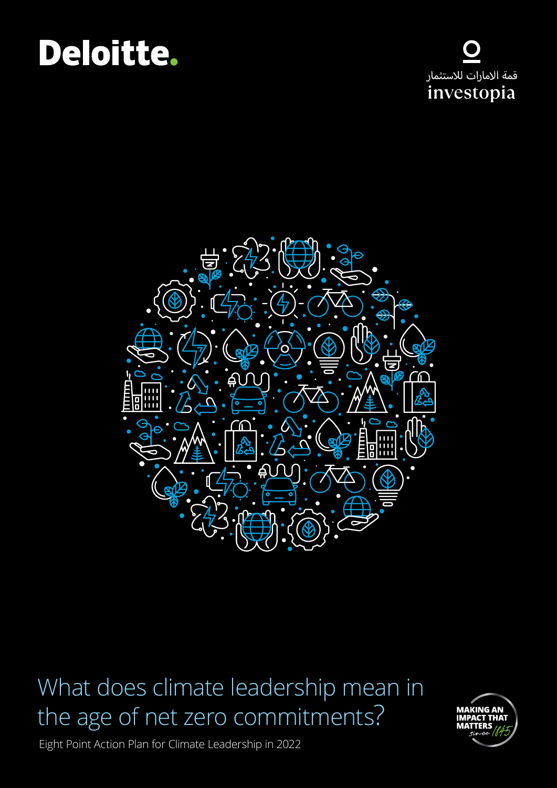# Deloitte.





### What does climate leadership mean in the age of net zero commitments?



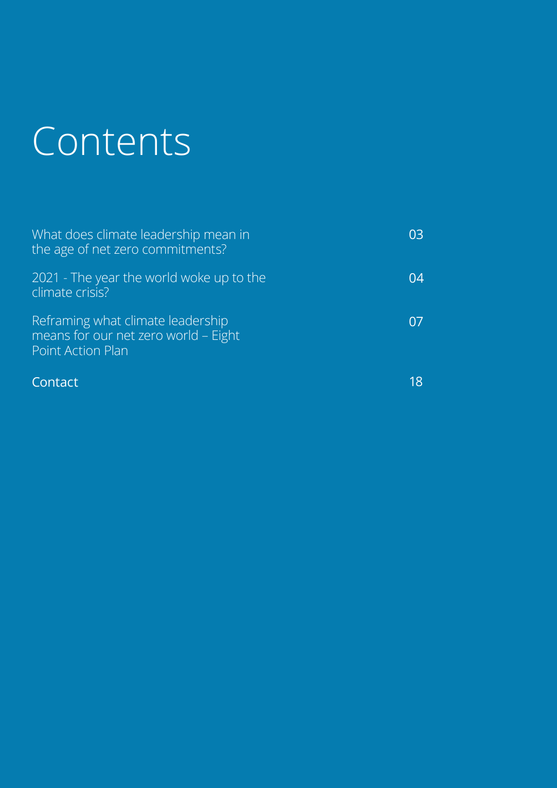# Contents

| What does climate leadership mean in<br>the age of net zero commitments?                       | 03 |
|------------------------------------------------------------------------------------------------|----|
| 2021 - The year the world woke up to the<br>climate crisis?                                    | 04 |
| Reframing what climate leadership<br>means for our net zero world - Eight<br>Point Action Plan | 07 |
| Contact                                                                                        | 18 |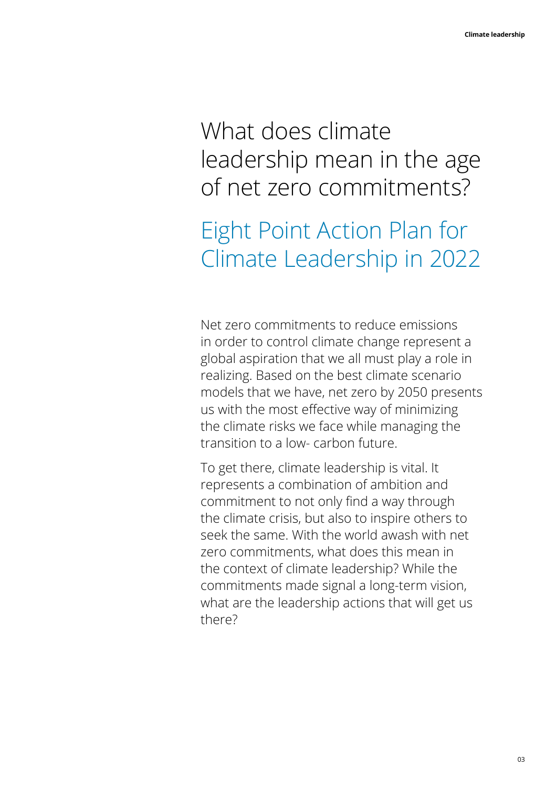### What does climate leadership mean in the age of net zero commitments?

### Eight Point Action Plan for Climate Leadership in 2022

Net zero commitments to reduce emissions in order to control climate change represent a global aspiration that we all must play a role in realizing. Based on the best climate scenario models that we have, net zero by 2050 presents us with the most effective way of minimizing the climate risks we face while managing the transition to a low- carbon future.

To get there, climate leadership is vital. It represents a combination of ambition and commitment to not only find a way through the climate crisis, but also to inspire others to seek the same. With the world awash with net zero commitments, what does this mean in the context of climate leadership? While the commitments made signal a long-term vision, what are the leadership actions that will get us there?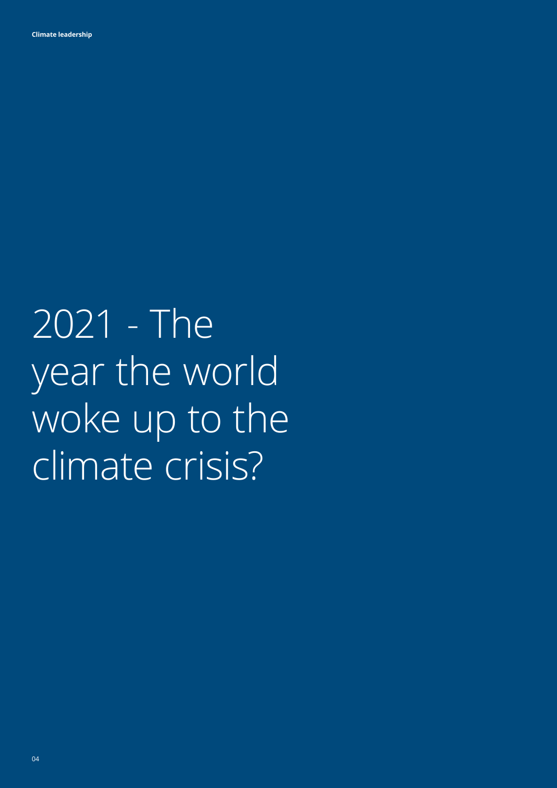2021 - The year the world woke up to the climate crisis?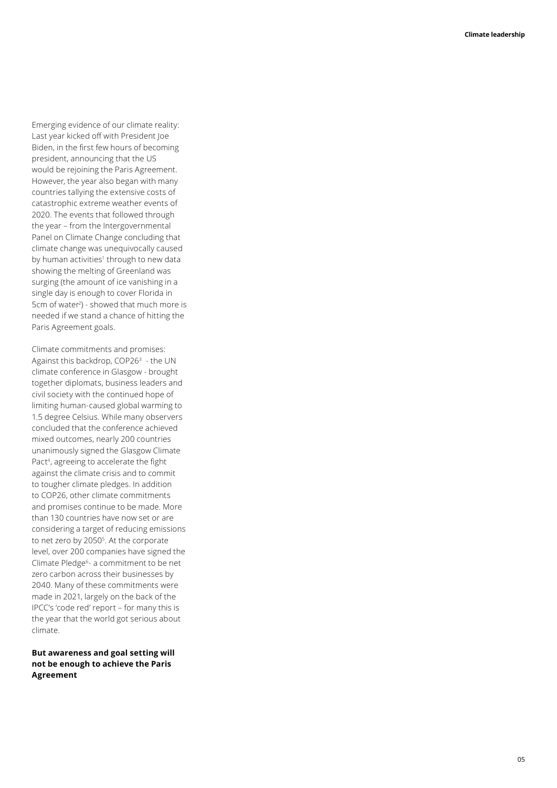Emerging evidence of our climate reality: Last year kicked off with President Joe Biden, in the first few hours of becoming president, announcing that the US would be rejoining the Paris Agreement. However, the year also began with many countries tallying the extensive costs of catastrophic extreme weather events of 2020. The events that followed through the year – from the Intergovernmental Panel on Climate Change concluding that climate change was unequivocally caused by human activities<sup>1</sup> through to new data showing the melting of Greenland was surging (the amount of ice vanishing in a single day is enough to cover Florida in 5cm of water2 ) - showed that much more is needed if we stand a chance of hitting the Paris Agreement goals.

Climate commitments and promises: Against this backdrop, COP26<sup>3</sup> - the UN climate conference in Glasgow - brought together diplomats, business leaders and civil society with the continued hope of limiting human-caused global warming to 1.5 degree Celsius. While many observers concluded that the conference achieved mixed outcomes, nearly 200 countries unanimously signed the Glasgow Climate Pact <sup>4</sup>, agreeing to accelerate the fight against the climate crisis and to commit to tougher climate pledges. In addition to COP26, other climate commitments and promises continue to be made. More than 130 countries have now set or are considering a target of reducing emissions to net zero by 2050 5. At the corporate level, over 200 companies have signed the Climate Pledge 6- a commitment to be net zero carbon across their businesses by 2040. Many of these commitments were made in 2021, largely on the back of the IPCC's 'code red' report – for many this is the year that the world got serious about climate.

#### **But awareness and goal setting will not be enough to achieve the Paris Agreement**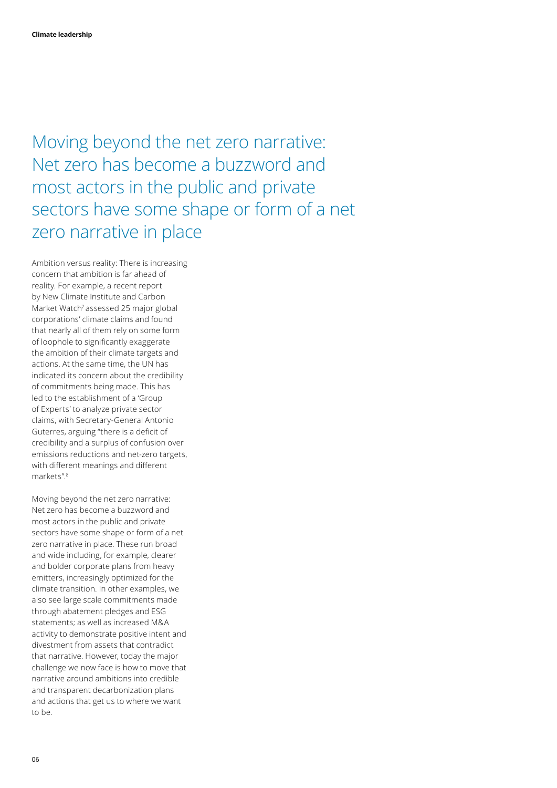Moving beyond the net zero narrative: Net zero has become a buzzword and most actors in the public and private sectors have some shape or form of a net zero narrative in place

Ambition versus reality: There is increasing concern that ambition is far ahead of reality. For example, a recent report by New Climate Institute and Carbon Market Watch<sup>7</sup> assessed 25 major global corporations' climate claims and found that nearly all of them rely on some form of loophole to significantly exaggerate the ambition of their climate targets and actions. At the same time, the UN has indicated its concern about the credibility of commitments being made. This has led to the establishment of a 'Group of Experts' to analyze private sector claims, with Secretary-General Antonio Guterres, arguing "there is a deficit of credibility and a surplus of confusion over emissions reductions and net-zero targets, with different meanings and different markets".8

Moving beyond the net zero narrative: Net zero has become a buzzword and most actors in the public and private sectors have some shape or form of a net zero narrative in place. These run broad and wide including, for example, clearer and bolder corporate plans from heavy emitters, increasingly optimized for the climate transition. In other examples, we also see large scale commitments made through abatement pledges and ESG statements; as well as increased M&A activity to demonstrate positive intent and divestment from assets that contradict that narrative. However, today the major challenge we now face is how to move that narrative around ambitions into credible and transparent decarbonization plans and actions that get us to where we want to be.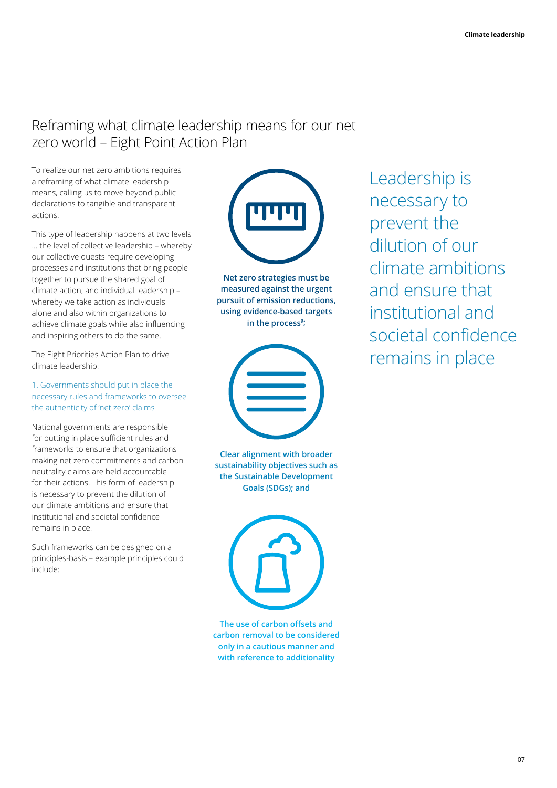#### Reframing what climate leadership means for our net zero world – Eight Point Action Plan

To realize our net zero ambitions requires a reframing of what climate leadership means, calling us to move beyond public declarations to tangible and transparent actions.

This type of leadership happens at two levels … the level of collective leadership – whereby our collective quests require developing processes and institutions that bring people together to pursue the shared goal of climate action; and individual leadership – whereby we take action as individuals alone and also within organizations to achieve climate goals while also influencing and inspiring others to do the same.

The Eight Priorities Action Plan to drive climate leadership:

#### 1. Governments should put in place the necessary rules and frameworks to oversee the authenticity of 'net zero' claims

National governments are responsible for putting in place sufficient rules and frameworks to ensure that organizations making net zero commitments and carbon neutrality claims are held accountable for their actions. This form of leadership is necessary to prevent the dilution of our climate ambitions and ensure that institutional and societal confidence remains in place.

Such frameworks can be designed on a principles-basis – example principles could include:



**Net zero strategies must be measured against the urgent pursuit of emission reductions, using evidence-based targets**  in the process<sup>9</sup>;



**Clear alignment with broader sustainability objectives such as the Sustainable Development Goals (SDGs); and**

**The use of carbon offsets and carbon removal to be considered only in a cautious manner and with reference to additionality**

Leadership is necessary to prevent the dilution of our climate ambitions and ensure that institutional and societal confidence remains in place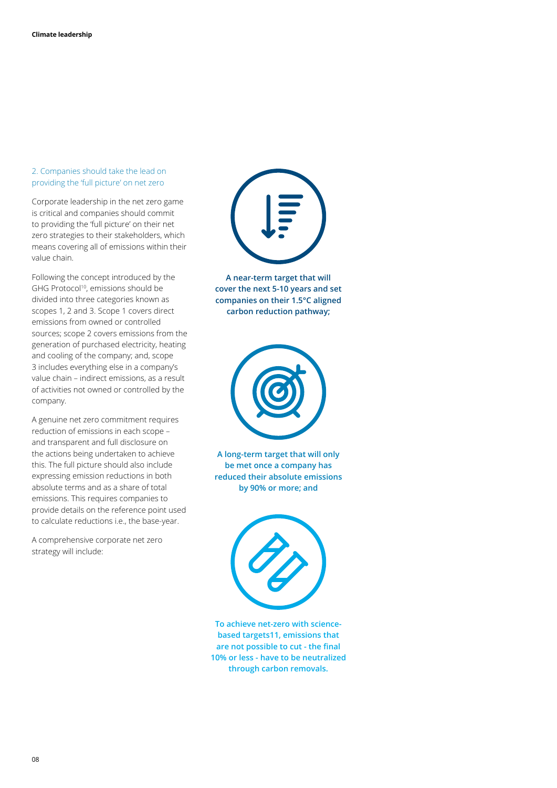#### 2. Companies should take the lead on providing the 'full picture' on net zero

Corporate leadership in the net zero game is critical and companies should commit to providing the 'full picture' on their net zero strategies to their stakeholders, which means covering all of emissions within their value chain.

Following the concept introduced by the GHG Protocol<sup>10</sup>, emissions should be divided into three categories known as scopes 1, 2 and 3. Scope 1 covers direct emissions from owned or controlled sources; scope 2 covers emissions from the generation of purchased electricity, heating and cooling of the company; and, scope 3 includes everything else in a company's value chain – indirect emissions, as a result of activities not owned or controlled by the company.

A genuine net zero commitment requires reduction of emissions in each scope – and transparent and full disclosure on the actions being undertaken to achieve this. The full picture should also include expressing emission reductions in both absolute terms and as a share of total emissions. This requires companies to provide details on the reference point used to calculate reductions i.e., the base-year.

A comprehensive corporate net zero strategy will include:



**A near-term target that will cover the next 5-10 years and set companies on their 1.5°C aligned carbon reduction pathway;**



**A long-term target that will only be met once a company has reduced their absolute emissions by 90% or more; and**



**To achieve net-zero with sciencebased targets11, emissions that are not possible to cut - the final 10% or less - have to be neutralized through carbon removals.**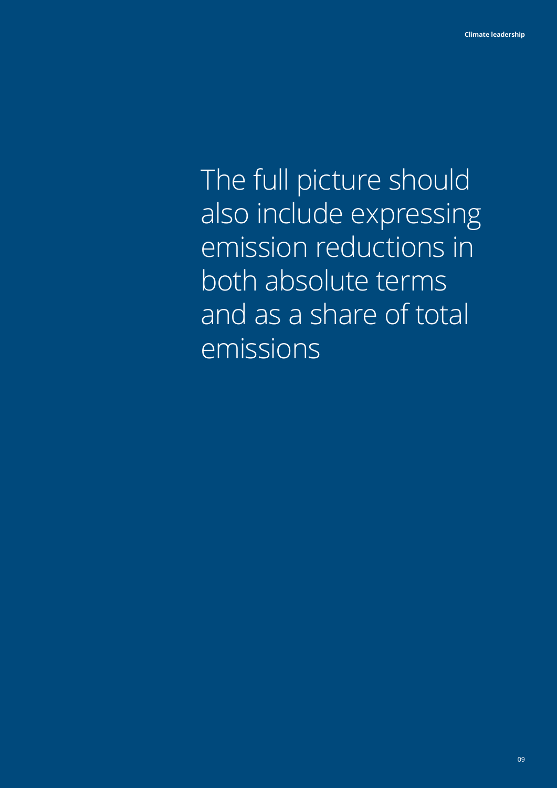The full picture should also include expressing emission reductions in both absolute terms and as a share of total emissions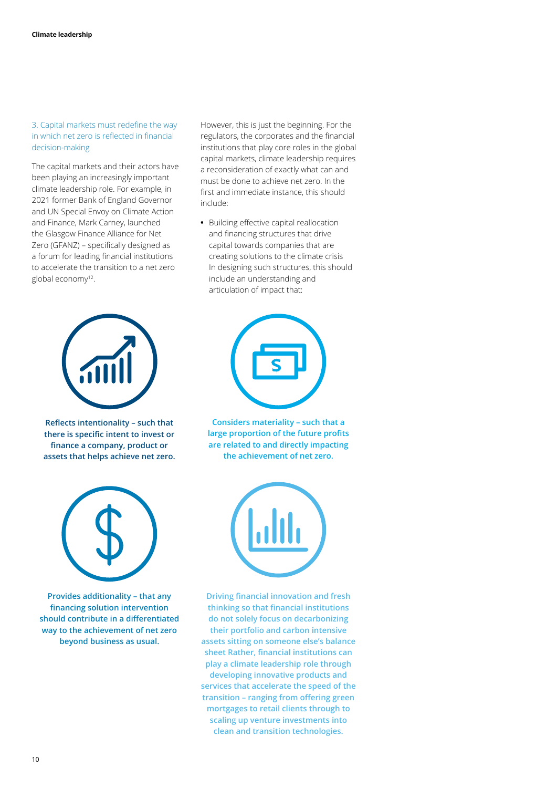#### 3. Capital markets must redefine the way in which net zero is reflected in financial decision-making

The capital markets and their actors have been playing an increasingly important climate leadership role. For example, in 2021 former Bank of England Governor and UN Special Envoy on Climate Action and Finance, Mark Carney, launched the Glasgow Finance Alliance for Net Zero (GFANZ) – specifically designed as a forum for leading financial institutions to accelerate the transition to a net zero global economy<sup>12</sup>.



**Reflects intentionality – such that there is specific intent to invest or finance a company, product or assets that helps achieve net zero.**



**Provides additionality – that any financing solution intervention should contribute in a differentiated way to the achievement of net zero beyond business as usual.**

However, this is just the beginning. For the regulators, the corporates and the financial institutions that play core roles in the global capital markets, climate leadership requires a reconsideration of exactly what can and must be done to achieve net zero. In the first and immediate instance, this should include:

**•** Building effective capital reallocation and financing structures that drive capital towards companies that are creating solutions to the climate crisis In designing such structures, this should include an understanding and articulation of impact that:



**Considers materiality – such that a large proportion of the future profits are related to and directly impacting the achievement of net zero.**



**Driving financial innovation and fresh thinking so that financial institutions do not solely focus on decarbonizing their portfolio and carbon intensive assets sitting on someone else's balance sheet Rather, financial institutions can play a climate leadership role through developing innovative products and services that accelerate the speed of the transition – ranging from offering green mortgages to retail clients through to scaling up venture investments into clean and transition technologies.**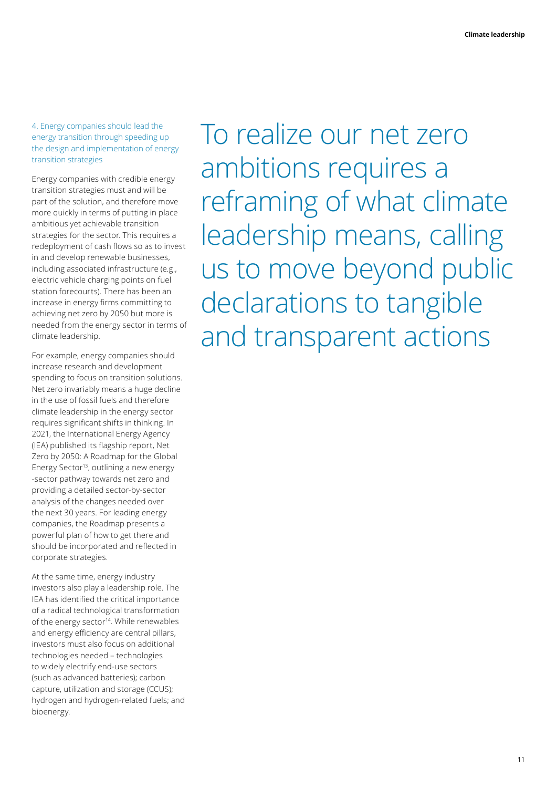4. Energy companies should lead the energy transition through speeding up the design and implementation of energy transition strategies

Energy companies with credible energy transition strategies must and will be part of the solution, and therefore move more quickly in terms of putting in place ambitious yet achievable transition strategies for the sector. This requires a redeployment of cash flows so as to invest in and develop renewable businesses, including associated infrastructure (e.g., electric vehicle charging points on fuel station forecourts). There has been an increase in energy firms committing to achieving net zero by 2050 but more is needed from the energy sector in terms of climate leadership.

For example, energy companies should increase research and development spending to focus on transition solutions. Net zero invariably means a huge decline in the use of fossil fuels and therefore climate leadership in the energy sector requires significant shifts in thinking. In 2021, the International Energy Agency (IEA) published its flagship report, Net Zero by 2050: A Roadmap for the Global Energy Sector<sup>13</sup>, outlining a new energy -sector pathway towards net zero and providing a detailed sector-by-sector analysis of the changes needed over the next 30 years. For leading energy companies, the Roadmap presents a powerful plan of how to get there and should be incorporated and reflected in corporate strategies.

At the same time, energy industry investors also play a leadership role. The IEA has identified the critical importance of a radical technological transformation of the energy sector<sup>14</sup>. While renewables and energy efficiency are central pillars, investors must also focus on additional technologies needed – technologies to widely electrify end-use sectors (such as advanced batteries); carbon capture, utilization and storage (CCUS); hydrogen and hydrogen-related fuels; and bioenergy.

To realize our net zero ambitions requires a reframing of what climate leadership means, calling us to move beyond public declarations to tangible and transparent actions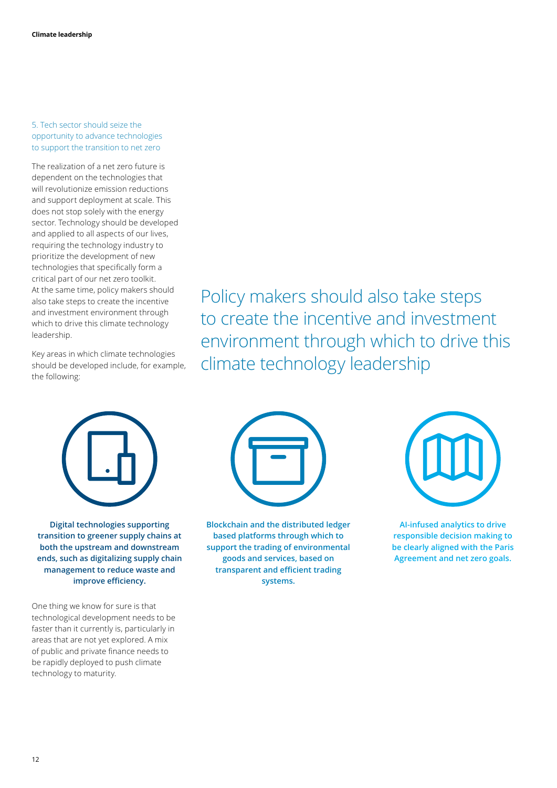#### 5. Tech sector should seize the opportunity to advance technologies to support the transition to net zero

The realization of a net zero future is dependent on the technologies that will revolutionize emission reductions and support deployment at scale. This does not stop solely with the energy sector. Technology should be developed and applied to all aspects of our lives, requiring the technology industry to prioritize the development of new technologies that specifically form a critical part of our net zero toolkit. At the same time, policy makers should also take steps to create the incentive and investment environment through which to drive this climate technology leadership.

Key areas in which climate technologies should be developed include, for example, the following:

Policy makers should also take steps to create the incentive and investment environment through which to drive this climate technology leadership



**Digital technologies supporting transition to greener supply chains at both the upstream and downstream ends, such as digitalizing supply chain management to reduce waste and improve efficiency.**

One thing we know for sure is that technological development needs to be faster than it currently is, particularly in areas that are not yet explored. A mix of public and private finance needs to be rapidly deployed to push climate technology to maturity.



**Blockchain and the distributed ledger based platforms through which to support the trading of environmental goods and services, based on transparent and efficient trading systems.**



**AI-infused analytics to drive responsible decision making to be clearly aligned with the Paris Agreement and net zero goals.**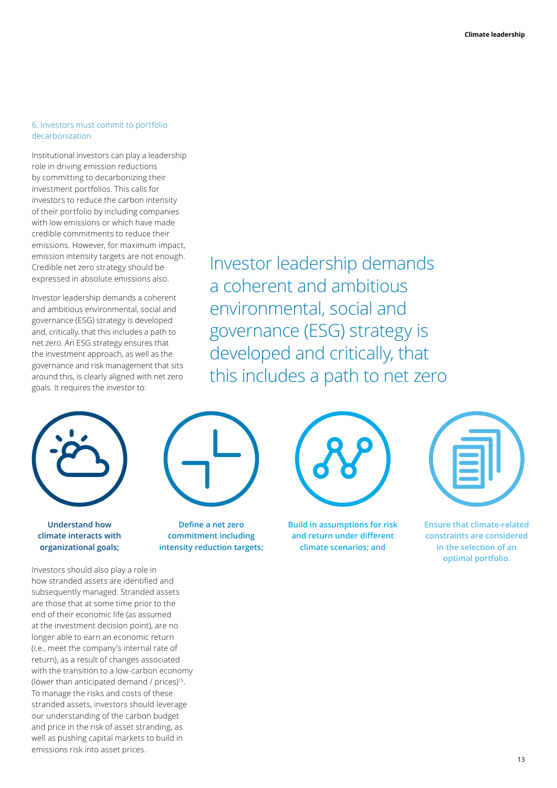#### 6. Investors must commit to portfolio decarbonization

Institutional investors can play a leadership role in driving emission reductions by committing to decarbonizing their investment portfolios. This calls for investors to reduce the carbon intensity of their portfolio by including companies with low emissions or which have made credible commitments to reduce their emissions. However, for maximum impact, emission intensity targets are not enough. Credible net zero strategy should be expressed in absolute emissions also.

Investor leadership demands a coherent and ambitious environmental, social and governance (ESG) strategy is developed and, critically, that this includes a path to net zero. An ESG strategy ensures that the investment approach, as well as the governance and risk management that sits around this, is clearly aligned with net zero goals. It requires the investor to:

Investor leadership demands a coherent and ambitious environmental, social and governance (ESG) strategy is developed and critically, that this includes a path to net zero



**Understand how climate interacts with organizational goals;**



**Define a net zero commitment including intensity reduction targets;**



**Build in assumptions for risk and return under different climate scenarios; and**

**Ensure that climate-related constraints are considered in the selection of an optimal portfolio.**

Investors should also play a role in how stranded assets are identified and subsequently managed. Stranded assets are those that at some time prior to the end of their economic life (as assumed at the investment decision point), are no longer able to earn an economic return (i.e., meet the company's internal rate of return), as a result of changes associated with the transition to a low-carbon economy (lower than anticipated demand / prices)15. To manage the risks and costs of these stranded assets, investors should leverage our understanding of the carbon budget and price in the risk of asset stranding, as well as pushing capital markets to build in emissions risk into asset prices.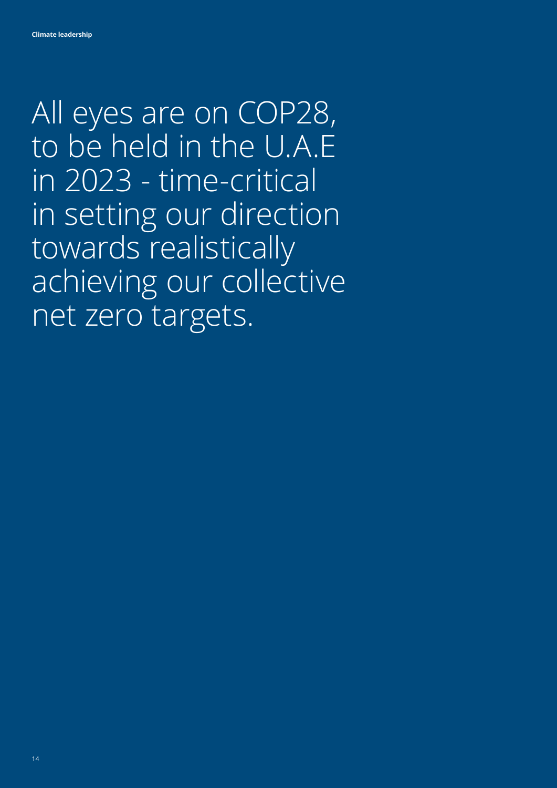All eyes are on COP28, to be held in the U.A.E in 2023 - time-critical in setting our direction towards realistically achieving our collective net zero targets.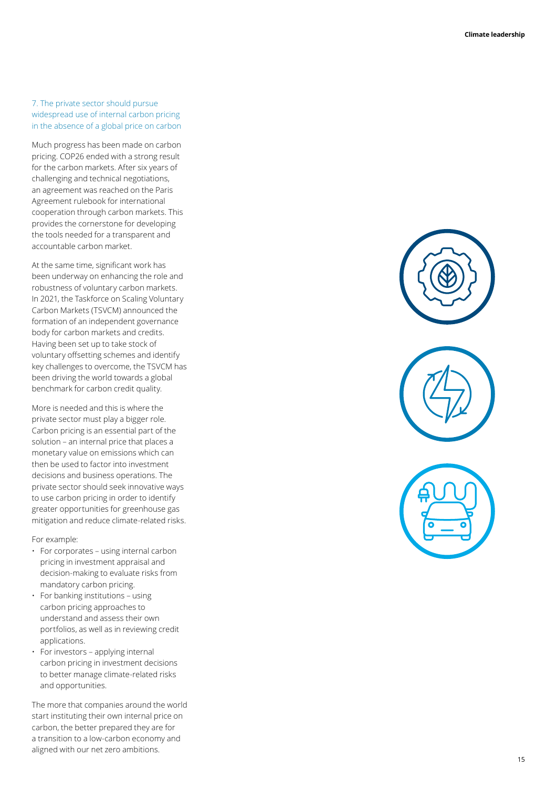#### 7. The private sector should pursue widespread use of internal carbon pricing in the absence of a global price on carbon

Much progress has been made on carbon pricing. COP26 ended with a strong result for the carbon markets. After six years of challenging and technical negotiations, an agreement was reached on the Paris Agreement rulebook for international cooperation through carbon markets. This provides the cornerstone for developing the tools needed for a transparent and accountable carbon market.

At the same time, significant work has been underway on enhancing the role and robustness of voluntary carbon markets. In 2021, the Taskforce on Scaling Voluntary Carbon Markets (TSVCM) announced the formation of an independent governance body for carbon markets and credits. Having been set up to take stock of voluntary offsetting schemes and identify key challenges to overcome, the TSVCM has been driving the world towards a global benchmark for carbon credit quality.

More is needed and this is where the private sector must play a bigger role. Carbon pricing is an essential part of the solution – an internal price that places a monetary value on emissions which can then be used to factor into investment decisions and business operations. The private sector should seek innovative ways to use carbon pricing in order to identify greater opportunities for greenhouse gas mitigation and reduce climate-related risks.

For example:

- For corporates using internal carbon pricing in investment appraisal and decision-making to evaluate risks from mandatory carbon pricing.
- For banking institutions using carbon pricing approaches to understand and assess their own portfolios, as well as in reviewing credit applications.
- For investors applying internal carbon pricing in investment decisions to better manage climate-related risks and opportunities.

The more that companies around the world start instituting their own internal price on carbon, the better prepared they are for a transition to a low-carbon economy and aligned with our net zero ambitions.

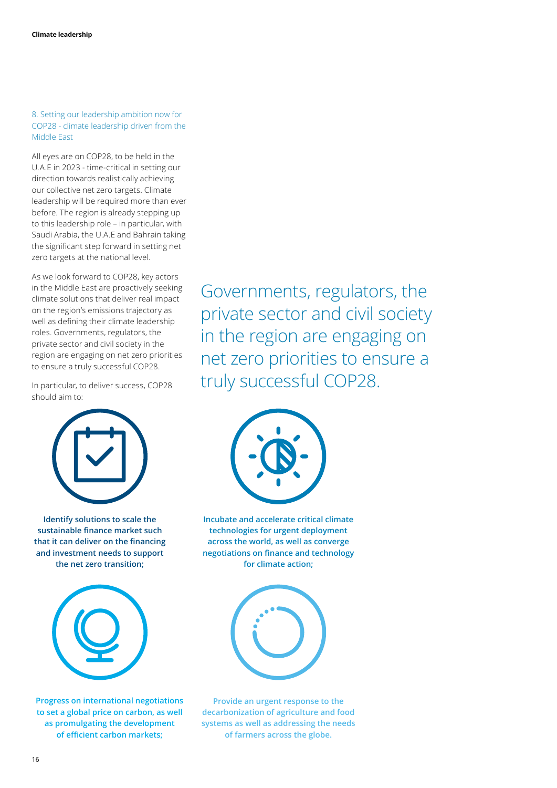8. Setting our leadership ambition now for COP28 - climate leadership driven from the Middle East

All eyes are on COP28, to be held in the U.A.E in 2023 - time-critical in setting our direction towards realistically achieving our collective net zero targets. Climate leadership will be required more than ever before. The region is already stepping up to this leadership role – in particular, with Saudi Arabia, the U.A.E and Bahrain taking the significant step forward in setting net zero targets at the national level.

As we look forward to COP28, key actors in the Middle East are proactively seeking climate solutions that deliver real impact on the region's emissions trajectory as well as defining their climate leadership roles. Governments, regulators, the private sector and civil society in the region are engaging on net zero priorities to ensure a truly successful COP28.

In particular, to deliver success, COP28 should aim to:



**Identify solutions to scale the sustainable finance market such that it can deliver on the financing and investment needs to support the net zero transition;**



**Progress on international negotiations to set a global price on carbon, as well as promulgating the development of efficient carbon markets;** 

Governments, regulators, the private sector and civil society in the region are engaging on net zero priorities to ensure a truly successful COP28.



**Incubate and accelerate critical climate technologies for urgent deployment across the world, as well as converge negotiations on finance and technology for climate action;**



**Provide an urgent response to the decarbonization of agriculture and food systems as well as addressing the needs of farmers across the globe.**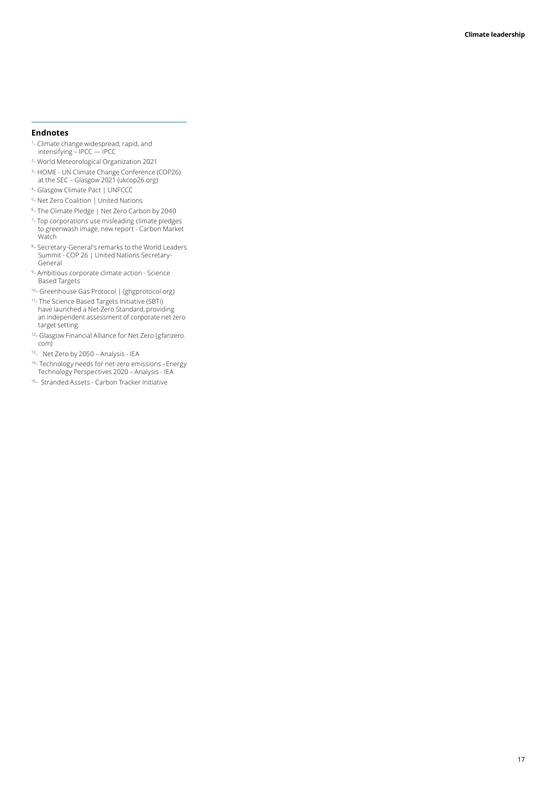#### **Endnotes**

- 1 Climate change widespread, rapid, and intensifying – IPCC — IPCC
- 2 World Meteorological Organization 2021
- <sup>3</sup>- HOME UN Climate Change Conference (COP26) at the SEC – Glasgow 2021 (ukcop26.org)
- 4- Glasgow Climate Pact | UNFCCC
- 5- Net Zero Coalition | United Nations
- 6- The Climate Pledge | Net Zero Carbon by 2040
- 7 Top corporations use misleading climate pledges to greenwash image, new report - Carbon Market Watch
- 8- Secretary-General's remarks to the World Leaders Summit - COP 26 | United Nations Secretary-General
- 9- Ambitious corporate climate action Science Based Targets
- 10- Greenhouse Gas Protocol | (ghgprotocol.org)
- 11- The Science Based Targets Initiative (SBTi) have launched a Net-Zero Standard, providing an independent assessment of corporate net zero target setting.
- 12<sub>- Glasgow Financial Alliance for Net Zero (gfanzero.</sub> com)
- 13- Net Zero by 2050 Analysis IEA
- <sup>14</sup>- Technology needs for net-zero emissions Energy Technology Perspectives 2020 – Analysis - IEA
- 15- Stranded Assets Carbon Tracker Initiative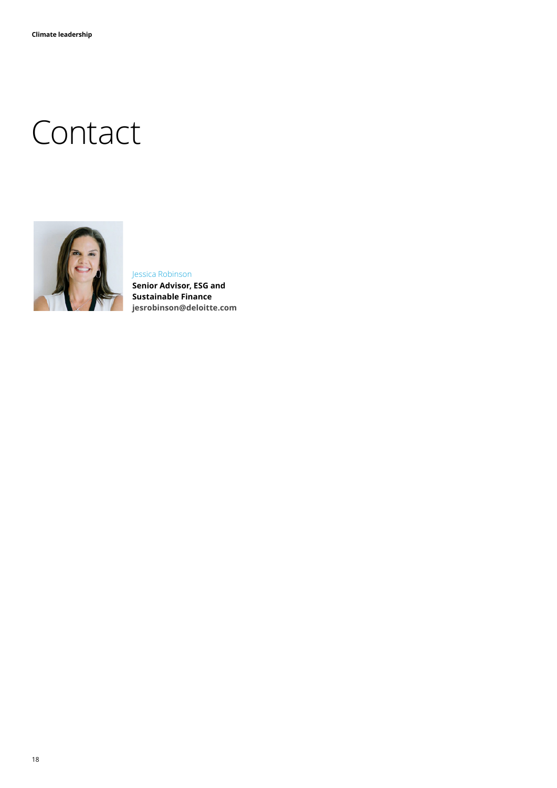## **Contact**



#### Jessica Robinson

**Senior Advisor, ESG and Sustainable Finance jesrobinson@deloitte.com**